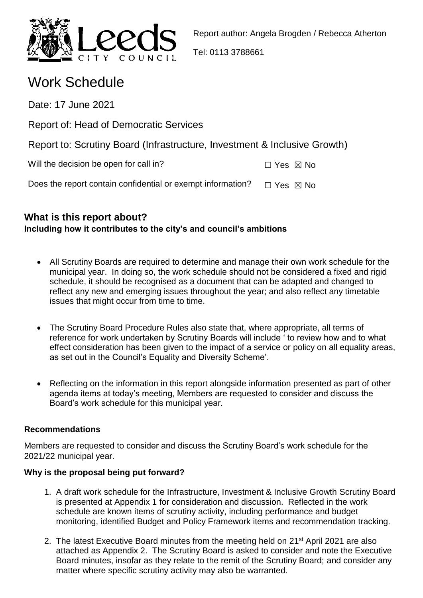

Tel: 0113 3788661

# Work Schedule

Date: 17 June 2021

Report of: Head of Democratic Services

|  | Report to: Scrutiny Board (Infrastructure, Investment & Inclusive Growth) |  |  |
|--|---------------------------------------------------------------------------|--|--|
|  |                                                                           |  |  |

Will the decision be open for call in?  $\Box$  Yes  $\boxtimes$  No

Does the report contain confidential or exempt information?  $\Box$  Yes  $\boxtimes$  No

## **What is this report about? Including how it contributes to the city's and council's ambitions**

- All Scrutiny Boards are required to determine and manage their own work schedule for the municipal year. In doing so, the work schedule should not be considered a fixed and rigid schedule, it should be recognised as a document that can be adapted and changed to reflect any new and emerging issues throughout the year; and also reflect any timetable issues that might occur from time to time.
- The Scrutiny Board Procedure Rules also state that, where appropriate, all terms of reference for work undertaken by Scrutiny Boards will include ' to review how and to what effect consideration has been given to the impact of a service or policy on all equality areas, as set out in the Council's Equality and Diversity Scheme'.
- Reflecting on the information in this report alongside information presented as part of other agenda items at today's meeting, Members are requested to consider and discuss the Board's work schedule for this municipal year.

## **Recommendations**

Members are requested to consider and discuss the Scrutiny Board's work schedule for the 2021/22 municipal year.

## **Why is the proposal being put forward?**

- 1. A draft work schedule for the Infrastructure, Investment & Inclusive Growth Scrutiny Board is presented at Appendix 1 for consideration and discussion. Reflected in the work schedule are known items of scrutiny activity, including performance and budget monitoring, identified Budget and Policy Framework items and recommendation tracking.
- 2. The latest Executive Board minutes from the meeting held on 21<sup>st</sup> April 2021 are also attached as Appendix 2. The Scrutiny Board is asked to consider and note the Executive Board minutes, insofar as they relate to the remit of the Scrutiny Board; and consider any matter where specific scrutiny activity may also be warranted.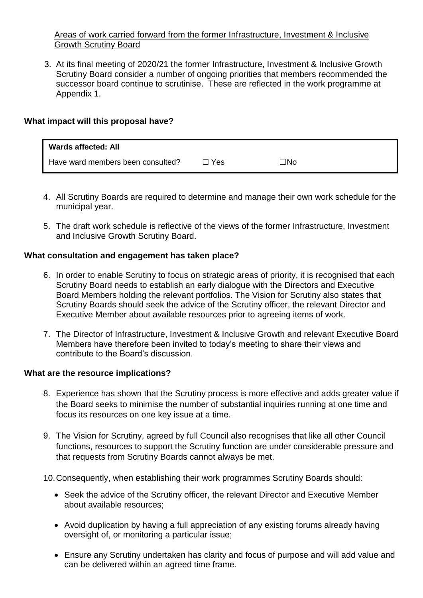#### Areas of work carried forward from the former Infrastructure, Investment & Inclusive Growth Scrutiny Board

3. At its final meeting of 2020/21 the former Infrastructure, Investment & Inclusive Growth Scrutiny Board consider a number of ongoing priorities that members recommended the successor board continue to scrutinise. These are reflected in the work programme at Appendix 1.

#### **What impact will this proposal have?**

| <b>Wards affected: All</b>        |       |     |
|-----------------------------------|-------|-----|
| Have ward members been consulted? | ∃ Yes | コNo |

- 4. All Scrutiny Boards are required to determine and manage their own work schedule for the municipal year.
- 5. The draft work schedule is reflective of the views of the former Infrastructure, Investment and Inclusive Growth Scrutiny Board.

#### **What consultation and engagement has taken place?**

- 6. In order to enable Scrutiny to focus on strategic areas of priority, it is recognised that each Scrutiny Board needs to establish an early dialogue with the Directors and Executive Board Members holding the relevant portfolios. The Vision for Scrutiny also states that Scrutiny Boards should seek the advice of the Scrutiny officer, the relevant Director and Executive Member about available resources prior to agreeing items of work.
- 7. The Director of Infrastructure, Investment & Inclusive Growth and relevant Executive Board Members have therefore been invited to today's meeting to share their views and contribute to the Board's discussion.

#### **What are the resource implications?**

- 8. Experience has shown that the Scrutiny process is more effective and adds greater value if the Board seeks to minimise the number of substantial inquiries running at one time and focus its resources on one key issue at a time.
- 9. The Vision for Scrutiny, agreed by full Council also recognises that like all other Council functions, resources to support the Scrutiny function are under considerable pressure and that requests from Scrutiny Boards cannot always be met.
- 10.Consequently, when establishing their work programmes Scrutiny Boards should:
	- Seek the advice of the Scrutiny officer, the relevant Director and Executive Member about available resources;
	- Avoid duplication by having a full appreciation of any existing forums already having oversight of, or monitoring a particular issue;
	- Ensure any Scrutiny undertaken has clarity and focus of purpose and will add value and can be delivered within an agreed time frame.